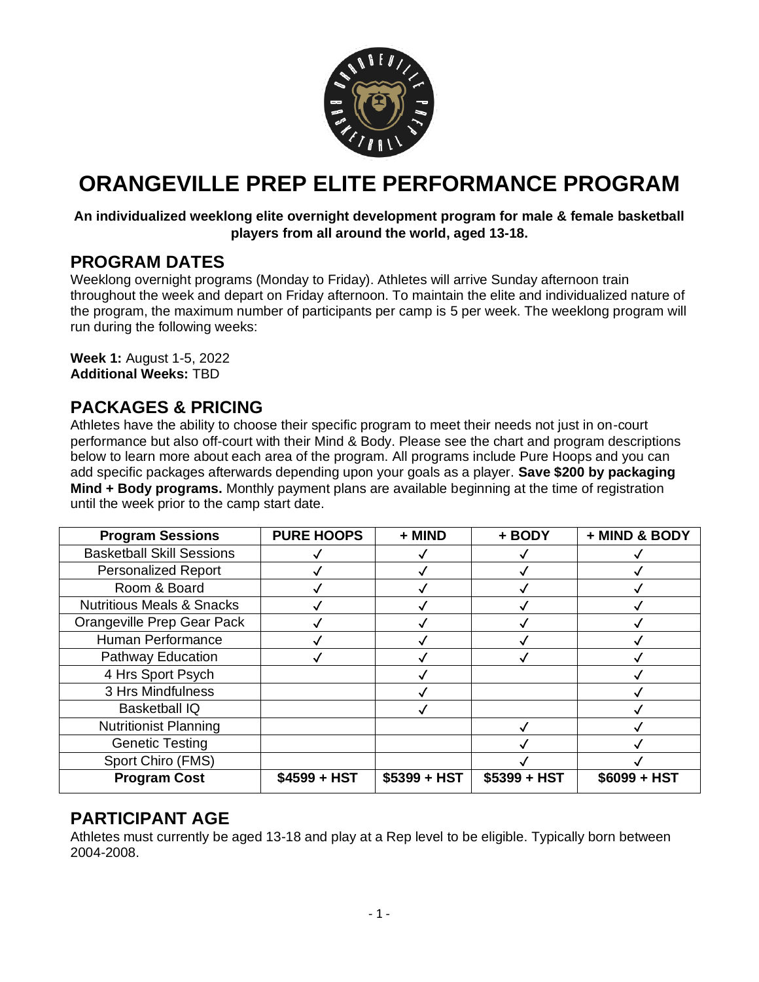

# **ORANGEVILLE PREP ELITE PERFORMANCE PROGRAM**

#### **An individualized weeklong elite overnight development program for male & female basketball players from all around the world, aged 13-18.**

### **PROGRAM DATES**

Weeklong overnight programs (Monday to Friday). Athletes will arrive Sunday afternoon train throughout the week and depart on Friday afternoon. To maintain the elite and individualized nature of the program, the maximum number of participants per camp is 5 per week. The weeklong program will run during the following weeks:

**Week 1:** August 1-5, 2022 **Additional Weeks:** TBD

### **PACKAGES & PRICING**

Athletes have the ability to choose their specific program to meet their needs not just in on-court performance but also off-court with their Mind & Body. Please see the chart and program descriptions below to learn more about each area of the program. All programs include Pure Hoops and you can add specific packages afterwards depending upon your goals as a player. **Save \$200 by packaging Mind + Body programs.** Monthly payment plans are available beginning at the time of registration until the week prior to the camp start date.

| <b>Program Sessions</b>              | <b>PURE HOOPS</b> | + MIND       | + BODY       | + MIND & BODY |
|--------------------------------------|-------------------|--------------|--------------|---------------|
| <b>Basketball Skill Sessions</b>     |                   |              |              |               |
| <b>Personalized Report</b>           |                   |              |              |               |
| Room & Board                         |                   |              |              |               |
| <b>Nutritious Meals &amp; Snacks</b> |                   |              |              |               |
| Orangeville Prep Gear Pack           |                   |              |              |               |
| Human Performance                    |                   |              |              |               |
| Pathway Education                    |                   |              |              |               |
| 4 Hrs Sport Psych                    |                   |              |              |               |
| 3 Hrs Mindfulness                    |                   |              |              |               |
| <b>Basketball IQ</b>                 |                   |              |              |               |
| <b>Nutritionist Planning</b>         |                   |              |              |               |
| <b>Genetic Testing</b>               |                   |              |              |               |
| Sport Chiro (FMS)                    |                   |              |              |               |
| <b>Program Cost</b>                  | \$4599 + HST      | \$5399 + HST | \$5399 + HST | \$6099 + HST  |

### **PARTICIPANT AGE**

Athletes must currently be aged 13-18 and play at a Rep level to be eligible. Typically born between 2004-2008.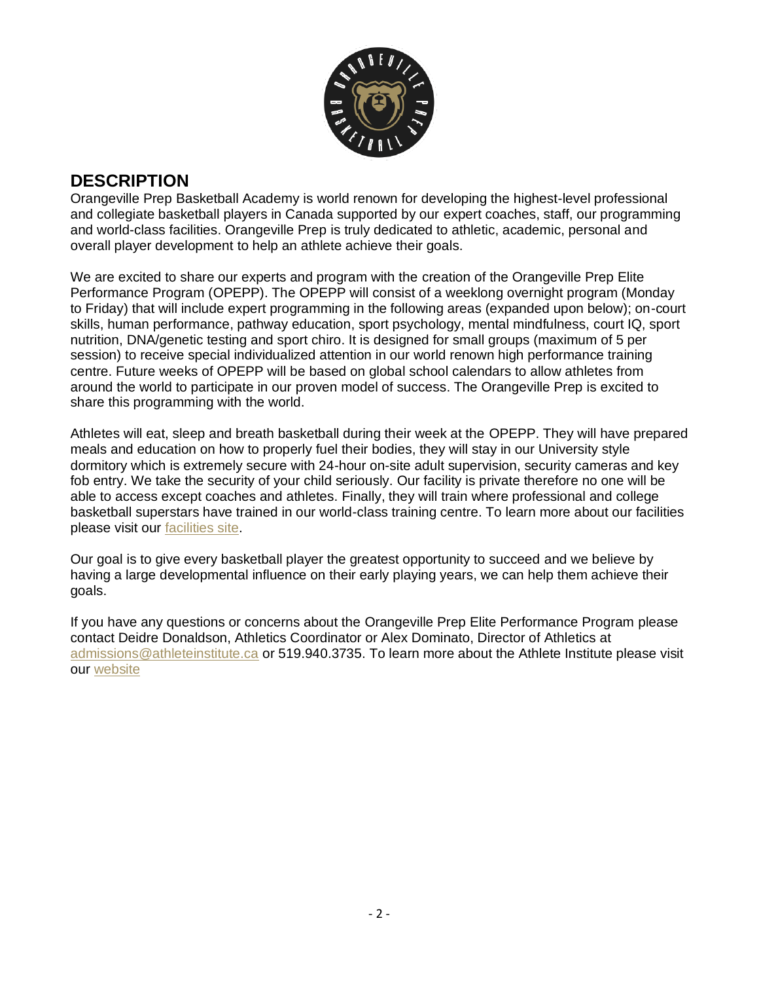

## **DESCRIPTION**

Orangeville Prep Basketball Academy is world renown for developing the highest-level professional and collegiate basketball players in Canada supported by our expert coaches, staff, our programming and world-class facilities. Orangeville Prep is truly dedicated to athletic, academic, personal and overall player development to help an athlete achieve their goals.

We are excited to share our experts and program with the creation of the Orangeville Prep Elite Performance Program (OPEPP). The OPEPP will consist of a weeklong overnight program (Monday to Friday) that will include expert programming in the following areas (expanded upon below); on-court skills, human performance, pathway education, sport psychology, mental mindfulness, court IQ, sport nutrition, DNA/genetic testing and sport chiro. It is designed for small groups (maximum of 5 per session) to receive special individualized attention in our world renown high performance training centre. Future weeks of OPEPP will be based on global school calendars to allow athletes from around the world to participate in our proven model of success. The Orangeville Prep is excited to share this programming with the world.

Athletes will eat, sleep and breath basketball during their week at the OPEPP. They will have prepared meals and education on how to properly fuel their bodies, they will stay in our University style dormitory which is extremely secure with 24-hour on-site adult supervision, security cameras and key fob entry. We take the security of your child seriously. Our facility is private therefore no one will be able to access except coaches and athletes. Finally, they will train where professional and college basketball superstars have trained in our world-class training centre. To learn more about our facilities please visit our [facilities site.](https://www.athleteinstitute.ca/virtual-tour)

Our goal is to give every basketball player the greatest opportunity to succeed and we believe by having a large developmental influence on their early playing years, we can help them achieve their goals.

If you have any questions or concerns about the Orangeville Prep Elite Performance Program please contact Deidre Donaldson, Athletics Coordinator or Alex Dominato, Director of Athletics at [admissions@athleteinstitute.ca](mailto:admissions@athleteinstitute.ca) or 519.940.3735. To learn more about the Athlete Institute please visit our [website](https://www.orangevilleprep.com/)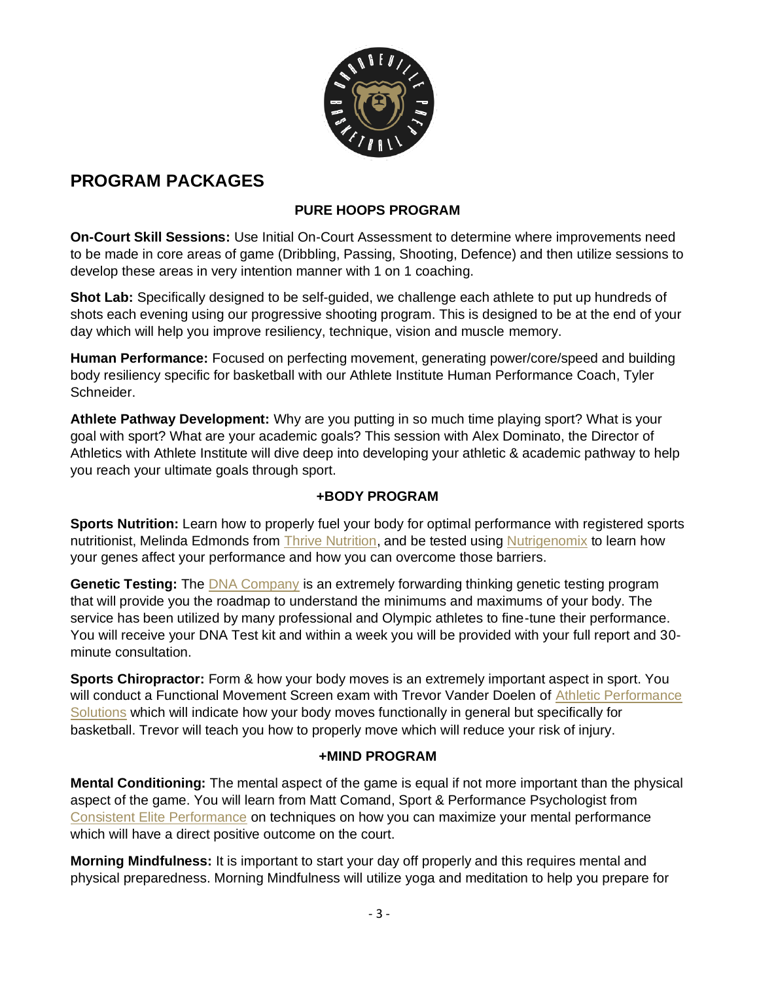

# **PROGRAM PACKAGES**

#### **PURE HOOPS PROGRAM**

**On-Court Skill Sessions:** Use Initial On-Court Assessment to determine where improvements need to be made in core areas of game (Dribbling, Passing, Shooting, Defence) and then utilize sessions to develop these areas in very intention manner with 1 on 1 coaching.

**Shot Lab:** Specifically designed to be self-guided, we challenge each athlete to put up hundreds of shots each evening using our progressive shooting program. This is designed to be at the end of your day which will help you improve resiliency, technique, vision and muscle memory.

**Human Performance:** Focused on perfecting movement, generating power/core/speed and building body resiliency specific for basketball with our Athlete Institute Human Performance Coach, Tyler Schneider.

**Athlete Pathway Development:** Why are you putting in so much time playing sport? What is your goal with sport? What are your academic goals? This session with Alex Dominato, the Director of Athletics with Athlete Institute will dive deep into developing your athletic & academic pathway to help you reach your ultimate goals through sport.

#### **+BODY PROGRAM**

**Sports Nutrition:** Learn how to properly fuel your body for optimal performance with registered sports nutritionist, Melinda Edmonds from [Thrive Nutrition,](https://www.thrivenutrition.ca/) and be tested using [Nutrigenomix](https://www.nutrigenomix.com/reports/sport) to learn how your genes affect your performance and how you can overcome those barriers.

**Genetic Testing:** The [DNA Company](https://www.thednacompany.com/?gclid=Cj0KCQiApL2QBhC8ARIsAGMm-KGf7vnSSqqCtD0MN2UpBRRhLQrOmx5dH9mRU-SECFKLXNCfJA1ZnzkaArRMEALw_wcB) is an extremely forwarding thinking genetic testing program that will provide you the roadmap to understand the minimums and maximums of your body. The service has been utilized by many professional and Olympic athletes to fine-tune their performance. You will receive your DNA Test kit and within a week you will be provided with your full report and 30 minute consultation.

**Sports Chiropractor:** Form & how your body moves is an extremely important aspect in sport. You will conduct a Functional Movement Screen exam with Trevor Vander Doelen of Athletic Performance [Solutions](https://www.drtrevorvanderdoelen.com/) which will indicate how your body moves functionally in general but specifically for basketball. Trevor will teach you how to properly move which will reduce your risk of injury.

#### **+MIND PROGRAM**

**Mental Conditioning:** The mental aspect of the game is equal if not more important than the physical aspect of the game. You will learn from Matt Comand, Sport & Performance Psychologist from [Consistent Elite Performance](https://www.consistenteliteperformance.com/) on techniques on how you can maximize your mental performance which will have a direct positive outcome on the court.

**Morning Mindfulness:** It is important to start your day off properly and this requires mental and physical preparedness. Morning Mindfulness will utilize yoga and meditation to help you prepare for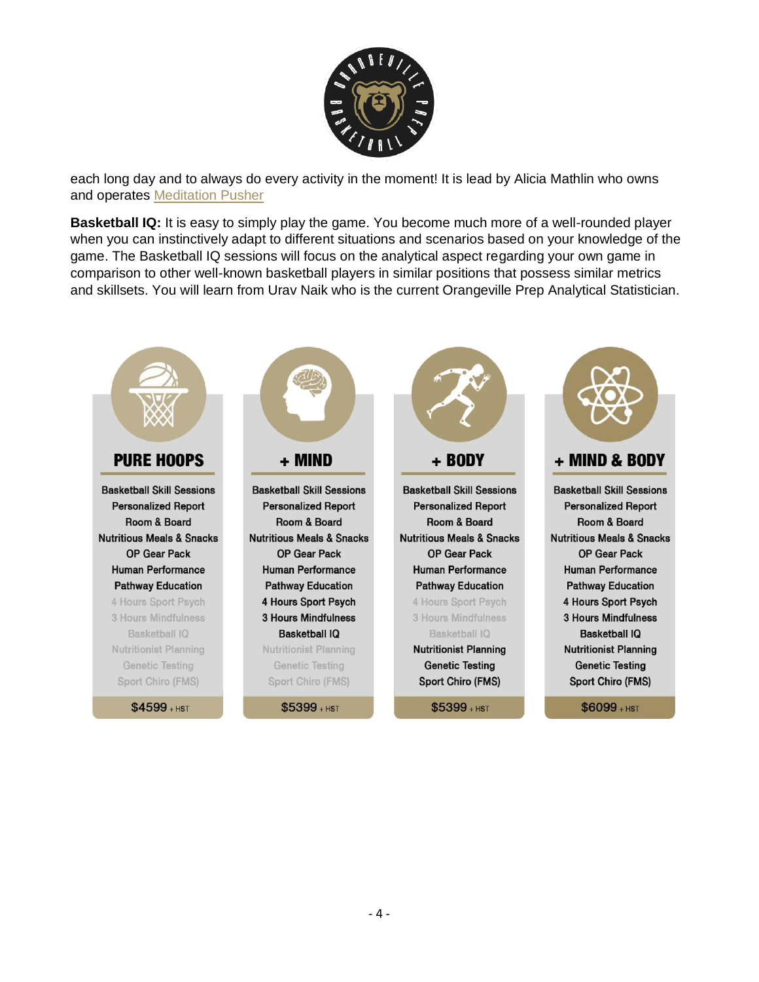

each long day and to always do every activity in the moment! It is lead by Alicia Mathlin who owns and operates [Meditation Pusher](https://www.meditationpusher.com/)

**Basketball IQ:** It is easy to simply play the game. You become much more of a well-rounded player when you can instinctively adapt to different situations and scenarios based on your knowledge of the game. The Basketball IQ sessions will focus on the analytical aspect regarding your own game in comparison to other well-known basketball players in similar positions that possess similar metrics and skillsets. You will learn from Urav Naik who is the current Orangeville Prep Analytical Statistician.